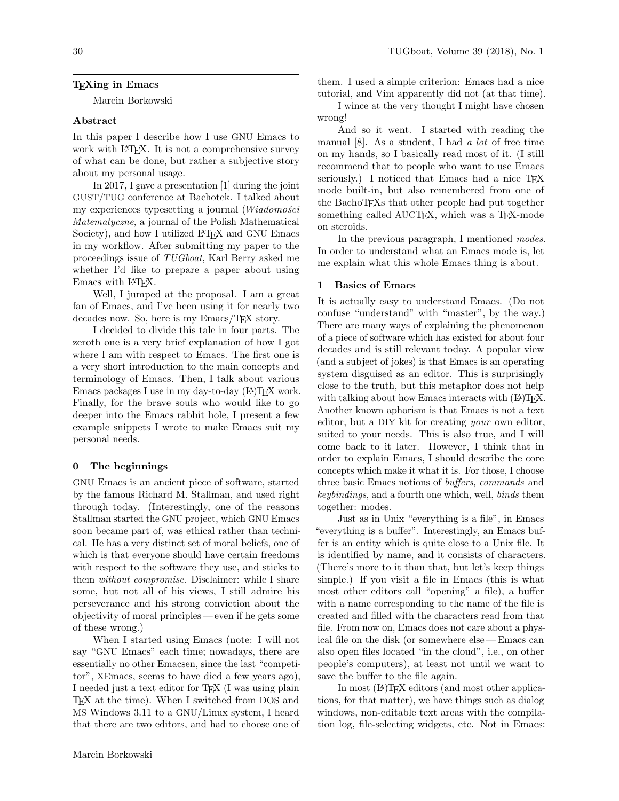### TEXing in Emacs

Marcin Borkowski

#### Abstract

In this paper I describe how I use GNU Emacs to work with L<sup>AT</sup>FX. It is not a comprehensive survey of what can be done, but rather a subjective story about my personal usage.

In 2017, I gave a presentation [1] during the joint GUST/TUG conference at Bachotek. I talked about my experiences typesetting a journal  $(Wiadomo'eci)$ Matematyczne, a journal of the Polish Mathematical Society), and how I utilized LAT<sub>E</sub>X and GNU Emacs in my workflow. After submitting my paper to the proceedings issue of TUGboat, Karl Berry asked me whether I'd like to prepare a paper about using Emacs with LATEX.

Well, I jumped at the proposal. I am a great fan of Emacs, and I've been using it for nearly two decades now. So, here is my Emacs/TEX story.

I decided to divide this tale in four parts. The zeroth one is a very brief explanation of how I got where I am with respect to Emacs. The first one is a very short introduction to the main concepts and terminology of Emacs. Then, I talk about various Emacs packages I use in my day-to-day  $(L)$ T<sub>F</sub>X work. Finally, for the brave souls who would like to go deeper into the Emacs rabbit hole, I present a few example snippets I wrote to make Emacs suit my personal needs.

#### 0 The beginnings

GNU Emacs is an ancient piece of software, started by the famous Richard M. Stallman, and used right through today. (Interestingly, one of the reasons Stallman started the GNU project, which GNU Emacs soon became part of, was ethical rather than technical. He has a very distinct set of moral beliefs, one of which is that everyone should have certain freedoms with respect to the software they use, and sticks to them without compromise. Disclaimer: while I share some, but not all of his views, I still admire his perseverance and his strong conviction about the objectivity of moral principles — even if he gets some of these wrong.)

When I started using Emacs (note: I will not say "GNU Emacs" each time; nowadays, there are essentially no other Emacsen, since the last "competitor", XEmacs, seems to have died a few years ago), I needed just a text editor for TEX (I was using plain TEX at the time). When I switched from DOS and MS Windows 3.11 to a GNU/Linux system, I heard that there are two editors, and had to choose one of

them. I used a simple criterion: Emacs had a nice tutorial, and Vim apparently did not (at that time).

I wince at the very thought I might have chosen wrong!

And so it went. I started with reading the manual  $[8]$ . As a student, I had a lot of free time on my hands, so I basically read most of it. (I still recommend that to people who want to use Emacs seriously.) I noticed that Emacs had a nice T<sub>F</sub>X mode built-in, but also remembered from one of the BachoTEXs that other people had put together something called AUCTEX, which was a TEX-mode on steroids.

In the previous paragraph, I mentioned modes. In order to understand what an Emacs mode is, let me explain what this whole Emacs thing is about.

### 1 Basics of Emacs

It is actually easy to understand Emacs. (Do not confuse "understand" with "master", by the way.) There are many ways of explaining the phenomenon of a piece of software which has existed for about four decades and is still relevant today. A popular view (and a subject of jokes) is that Emacs is an operating system disguised as an editor. This is surprisingly close to the truth, but this metaphor does not help with talking about how Emacs interacts with  $(\mathbb{A})$ T<sub>F</sub>X. Another known aphorism is that Emacs is not a text editor, but a DIY kit for creating your own editor, suited to your needs. This is also true, and I will come back to it later. However, I think that in order to explain Emacs, I should describe the core concepts which make it what it is. For those, I choose three basic Emacs notions of buffers, commands and keybindings, and a fourth one which, well, binds them together: modes.

Just as in Unix "everything is a file", in Emacs "everything is a buffer". Interestingly, an Emacs buffer is an entity which is quite close to a Unix file. It is identified by name, and it consists of characters. (There's more to it than that, but let's keep things simple.) If you visit a file in Emacs (this is what most other editors call "opening" a file), a buffer with a name corresponding to the name of the file is created and filled with the characters read from that file. From now on, Emacs does not care about a physical file on the disk (or somewhere else — Emacs can also open files located "in the cloud", i.e., on other people's computers), at least not until we want to save the buffer to the file again.

In most ( $\mathbb{A}$ )T<sub>F</sub>X editors (and most other applications, for that matter), we have things such as dialog windows, non-editable text areas with the compilation log, file-selecting widgets, etc. Not in Emacs: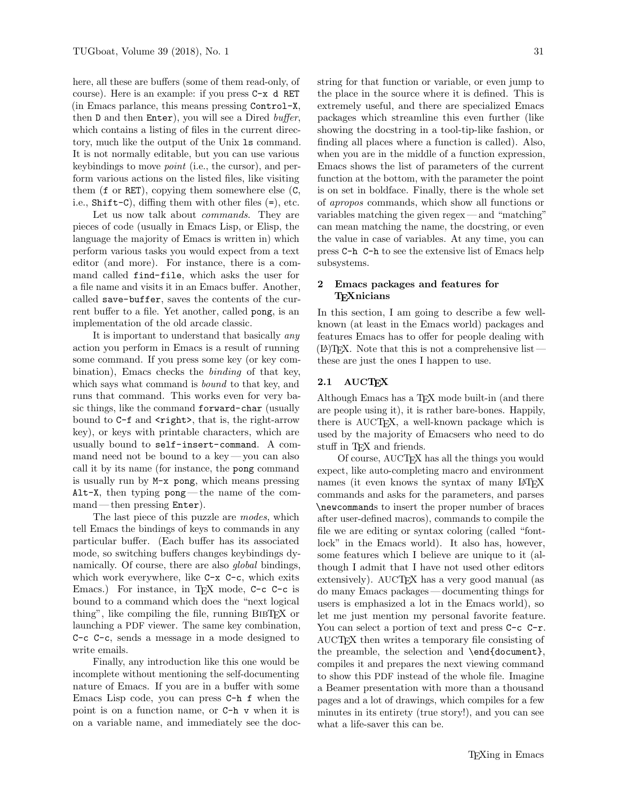here, all these are buffers (some of them read-only, of course). Here is an example: if you press C-x d RET (in Emacs parlance, this means pressing Control-X, then D and then Enter), you will see a Dired buffer, which contains a listing of files in the current directory, much like the output of the Unix ls command. It is not normally editable, but you can use various keybindings to move point (i.e., the cursor), and perform various actions on the listed files, like visiting them (f or RET), copying them somewhere else (C, i.e., Shift-C), diffing them with other files (=), etc.

Let us now talk about *commands*. They are pieces of code (usually in Emacs Lisp, or Elisp, the language the majority of Emacs is written in) which perform various tasks you would expect from a text editor (and more). For instance, there is a command called find-file, which asks the user for a file name and visits it in an Emacs buffer. Another, called save-buffer, saves the contents of the current buffer to a file. Yet another, called pong, is an implementation of the old arcade classic.

It is important to understand that basically *any* action you perform in Emacs is a result of running some command. If you press some key (or key combination), Emacs checks the binding of that key, which says what command is *bound* to that key, and runs that command. This works even for very basic things, like the command forward-char (usually bound to C-f and  $\langle$ right>, that is, the right-arrow key), or keys with printable characters, which are usually bound to self-insert-command. A command need not be bound to a key— you can also call it by its name (for instance, the pong command is usually run by M-x pong, which means pressing Alt-X, then typing pong— the name of the command — then pressing Enter).

The last piece of this puzzle are modes, which tell Emacs the bindings of keys to commands in any particular buffer. (Each buffer has its associated mode, so switching buffers changes keybindings dynamically. Of course, there are also global bindings, which work everywhere, like C-x C-c, which exits Emacs.) For instance, in T<sub>F</sub>X mode, C-c C-c is bound to a command which does the "next logical thing", like compiling the file, running BibTEX or launching a PDF viewer. The same key combination, C-c C-c, sends a message in a mode designed to write emails.

Finally, any introduction like this one would be incomplete without mentioning the self-documenting nature of Emacs. If you are in a buffer with some Emacs Lisp code, you can press C-h f when the point is on a function name, or C-h v when it is on a variable name, and immediately see the doc-

string for that function or variable, or even jump to the place in the source where it is defined. This is extremely useful, and there are specialized Emacs packages which streamline this even further (like showing the docstring in a tool-tip-like fashion, or finding all places where a function is called). Also, when you are in the middle of a function expression, Emacs shows the list of parameters of the current function at the bottom, with the parameter the point is on set in boldface. Finally, there is the whole set of apropos commands, which show all functions or variables matching the given regex — and "matching" can mean matching the name, the docstring, or even the value in case of variables. At any time, you can press C-h C-h to see the extensive list of Emacs help subsystems.

### 2 Emacs packages and features for **TEXnicians**

In this section, I am going to describe a few wellknown (at least in the Emacs world) packages and features Emacs has to offer for people dealing with  $(E)$ TEX. Note that this is not a comprehensive list  $$ these are just the ones I happen to use.

# 2.1 AUCTEX

Although Emacs has a TFX mode built-in (and there are people using it), it is rather bare-bones. Happily, there is AUCTEX, a well-known package which is used by the majority of Emacsers who need to do stuff in T<sub>F</sub>X and friends.

Of course, AUCTEX has all the things you would expect, like auto-completing macro and environment names (it even knows the syntax of many LAT<sub>EX</sub> commands and asks for the parameters, and parses \newcommands to insert the proper number of braces after user-defined macros), commands to compile the file we are editing or syntax coloring (called "fontlock" in the Emacs world). It also has, however, some features which I believe are unique to it (although I admit that I have not used other editors extensively). AUCT<sub>F</sub>X has a very good manual (as do many Emacs packages — documenting things for users is emphasized a lot in the Emacs world), so let me just mention my personal favorite feature. You can select a portion of text and press C-c C-r. AUCTEX then writes a temporary file consisting of the preamble, the selection and \end{document}, compiles it and prepares the next viewing command to show this PDF instead of the whole file. Imagine a Beamer presentation with more than a thousand pages and a lot of drawings, which compiles for a few minutes in its entirety (true story!), and you can see what a life-saver this can be.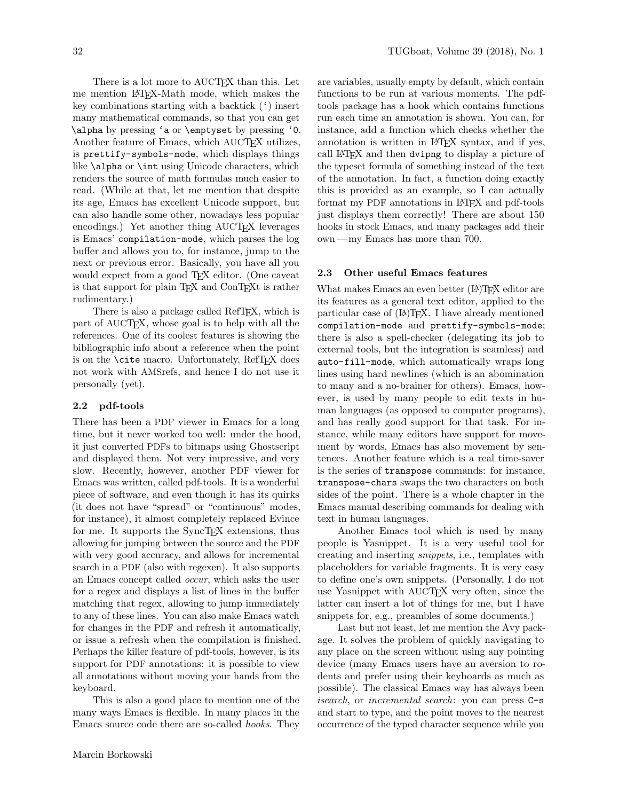There is a lot more to AUCTEX than this. Let me mention LATEX-Math mode, which makes the key combinations starting with a backtick (') insert many mathematical commands, so that you can get \alpha by pressing 'a or \emptyset by pressing '0. Another feature of Emacs, which AUCT<sub>F</sub>X utilizes, is prettify-symbols-mode, which displays things like \alpha or \int using Unicode characters, which renders the source of math formulas much easier to read. (While at that, let me mention that despite its age, Emacs has excellent Unicode support, but

can also handle some other, nowadays less popular encodings.) Yet another thing AUCT<sub>EX</sub> leverages is Emacs' compilation-mode, which parses the log buffer and allows you to, for instance, jump to the next or previous error. Basically, you have all you would expect from a good T<sub>F</sub>X editor. (One caveat is that support for plain T<sub>EX</sub> and ConT<sub>EX</sub>t is rather rudimentary.)

There is also a package called RefTEX, which is part of AUCT<sub>EX</sub>, whose goal is to help with all the references. One of its coolest features is showing the bibliographic info about a reference when the point is on the  $\text{cite}$  macro. Unfortunately, RefT<sub>E</sub>X does not work with AMSrefs, and hence I do not use it personally (yet).

# 2.2 pdf-tools

There has been a PDF viewer in Emacs for a long time, but it never worked too well: under the hood, it just converted PDFs to bitmaps using Ghostscript and displayed them. Not very impressive, and very slow. Recently, however, another PDF viewer for Emacs was written, called pdf-tools. It is a wonderful piece of software, and even though it has its quirks (it does not have "spread" or "continuous" modes, for instance), it almost completely replaced Evince for me. It supports the SyncT<sub>EX</sub> extensions, thus allowing for jumping between the source and the PDF with very good accuracy, and allows for incremental search in a PDF (also with regexen). It also supports an Emacs concept called occur, which asks the user for a regex and displays a list of lines in the buffer matching that regex, allowing to jump immediately to any of these lines. You can also make Emacs watch for changes in the PDF and refresh it automatically, or issue a refresh when the compilation is finished. Perhaps the killer feature of pdf-tools, however, is its support for PDF annotations: it is possible to view all annotations without moving your hands from the keyboard.

This is also a good place to mention one of the many ways Emacs is flexible. In many places in the Emacs source code there are so-called hooks. They are variables, usually empty by default, which contain functions to be run at various moments. The pdftools package has a hook which contains functions run each time an annotation is shown. You can, for instance, add a function which checks whether the annotation is written in LATEX syntax, and if yes, call LATEX and then dvipng to display a picture of the typeset formula of something instead of the text of the annotation. In fact, a function doing exactly this is provided as an example, so I can actually format my PDF annotations in L<sup>AT</sup>FX and pdf-tools just displays them correctly! There are about 150 hooks in stock Emacs, and many packages add their own — my Emacs has more than 700.

### 2.3 Other useful Emacs features

What makes Emacs an even better (LA)T<sub>E</sub>X editor are its features as a general text editor, applied to the particular case of  $(A)$ T<sub>F</sub>X. I have already mentioned compilation-mode and prettify-symbols-mode; there is also a spell-checker (delegating its job to external tools, but the integration is seamless) and auto-fill-mode, which automatically wraps long lines using hard newlines (which is an abomination to many and a no-brainer for others). Emacs, however, is used by many people to edit texts in human languages (as opposed to computer programs), and has really good support for that task. For instance, while many editors have support for movement by words, Emacs has also movement by sentences. Another feature which is a real time-saver is the series of transpose commands: for instance, transpose-chars swaps the two characters on both sides of the point. There is a whole chapter in the Emacs manual describing commands for dealing with text in human languages.

Another Emacs tool which is used by many people is Yasnippet. It is a very useful tool for creating and inserting snippets, i.e., templates with placeholders for variable fragments. It is very easy to define one's own snippets. (Personally, I do not use Yasnippet with AUCT<sub>EX</sub> very often, since the latter can insert a lot of things for me, but I have snippets for, e.g., preambles of some documents.)

Last but not least, let me mention the Avy package. It solves the problem of quickly navigating to any place on the screen without using any pointing device (many Emacs users have an aversion to rodents and prefer using their keyboards as much as possible). The classical Emacs way has always been isearch, or incremental search: you can press C-s and start to type, and the point moves to the nearest occurrence of the typed character sequence while you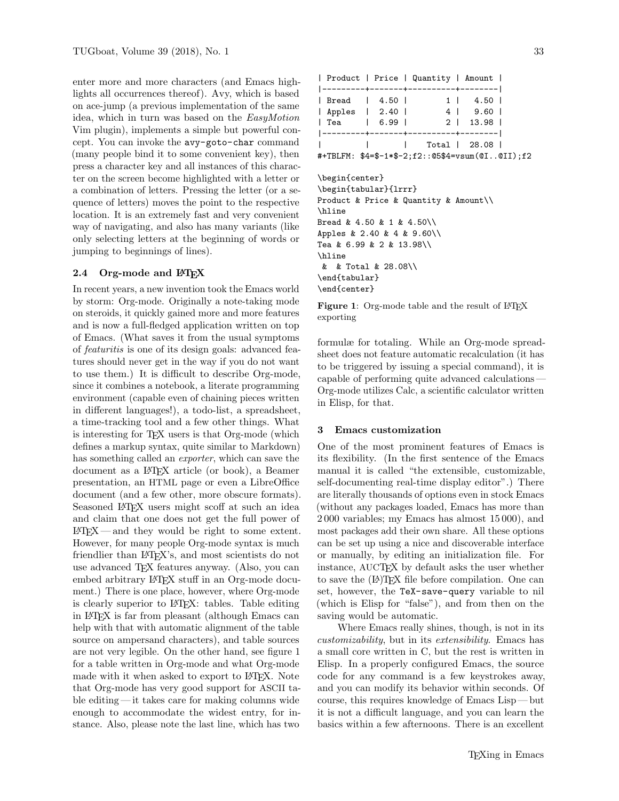enter more and more characters (and Emacs highlights all occurrences thereof). Avy, which is based on ace-jump (a previous implementation of the same idea, which in turn was based on the EasyMotion Vim plugin), implements a simple but powerful concept. You can invoke the avy-goto-char command (many people bind it to some convenient key), then press a character key and all instances of this character on the screen become highlighted with a letter or a combination of letters. Pressing the letter (or a sequence of letters) moves the point to the respective location. It is an extremely fast and very convenient way of navigating, and also has many variants (like only selecting letters at the beginning of words or jumping to beginnings of lines).

## 2.4 Org-mode and LATFX

In recent years, a new invention took the Emacs world by storm: Org-mode. Originally a note-taking mode on steroids, it quickly gained more and more features and is now a full-fledged application written on top of Emacs. (What saves it from the usual symptoms of featuritis is one of its design goals: advanced features should never get in the way if you do not want to use them.) It is difficult to describe Org-mode, since it combines a notebook, a literate programming environment (capable even of chaining pieces written in different languages!), a todo-list, a spreadsheet, a time-tracking tool and a few other things. What is interesting for T<sub>E</sub>X users is that Org-mode (which defines a markup syntax, quite similar to Markdown) has something called an *exporter*, which can save the document as a LATEX article (or book), a Beamer presentation, an HTML page or even a LibreOffice document (and a few other, more obscure formats). Seasoned LAT<sub>F</sub>X users might scoff at such an idea and claim that one does not get the full power of  $\text{LATEX}$  — and they would be right to some extent. However, for many people Org-mode syntax is much friendlier than L<sup>AT</sup>FX's, and most scientists do not use advanced TEX features anyway. (Also, you can embed arbitrary LATEX stuff in an Org-mode document.) There is one place, however, where Org-mode is clearly superior to LATEX: tables. Table editing in LATEX is far from pleasant (although Emacs can help with that with automatic alignment of the table source on ampersand characters), and table sources are not very legible. On the other hand, see figure 1 for a table written in Org-mode and what Org-mode made with it when asked to export to LATEX. Note that Org-mode has very good support for ASCII table editing — it takes care for making columns wide enough to accommodate the widest entry, for instance. Also, please note the last line, which has two

|                                                 |               | Product   Price   Quantity   Amount |               |  |
|-------------------------------------------------|---------------|-------------------------------------|---------------|--|
|                                                 |               | ----+-------+----------+--------    |               |  |
|                                                 | Bread   4.50  |                                     | 1   4.50      |  |
|                                                 | Apples   2.40 |                                     | 4   9.60      |  |
|                                                 | Tea   6.99    |                                     | 2   13.98     |  |
|                                                 |               | .--------+-------+----------+----   |               |  |
|                                                 |               |                                     | Total   28.08 |  |
| #+TBLFM: \$4=\$-1*\$-2;f2::@5\$4=vsum(@I@II);f2 |               |                                     |               |  |
|                                                 |               |                                     |               |  |
| \begin{center}                                  |               |                                     |               |  |
| \begin{tabular}{lrrr}                           |               |                                     |               |  |
| Product & Price & Quantity & Amount             |               |                                     |               |  |
| \hline                                          |               |                                     |               |  |
| Bread & 4.50 & 1 & 4.50\\                       |               |                                     |               |  |
| Apples & 2.40 & 4 & 9.60\\                      |               |                                     |               |  |
| Tea & 6.99 & 2 & 13.98\\                        |               |                                     |               |  |
| \hline                                          |               |                                     |               |  |
| & & Total & 28.08\\                             |               |                                     |               |  |
| \end{tabular}                                   |               |                                     |               |  |
| \end{center}                                    |               |                                     |               |  |

Figure 1: Org-mode table and the result of LATEX exporting

formulæ for totaling. While an Org-mode spreadsheet does not feature automatic recalculation (it has to be triggered by issuing a special command), it is capable of performing quite advanced calculations — Org-mode utilizes Calc, a scientific calculator written in Elisp, for that.

#### 3 Emacs customization

One of the most prominent features of Emacs is its flexibility. (In the first sentence of the Emacs manual it is called "the extensible, customizable, self-documenting real-time display editor".) There are literally thousands of options even in stock Emacs (without any packages loaded, Emacs has more than 2 000 variables; my Emacs has almost 15 000), and most packages add their own share. All these options can be set up using a nice and discoverable interface or manually, by editing an initialization file. For instance, AUCTEX by default asks the user whether to save the (LA)T<sub>F</sub>X file before compilation. One can set, however, the TeX-save-query variable to nil (which is Elisp for "false"), and from then on the saving would be automatic.

Where Emacs really shines, though, is not in its customizability, but in its extensibility. Emacs has a small core written in C, but the rest is written in Elisp. In a properly configured Emacs, the source code for any command is a few keystrokes away, and you can modify its behavior within seconds. Of course, this requires knowledge of Emacs Lisp — but it is not a difficult language, and you can learn the basics within a few afternoons. There is an excellent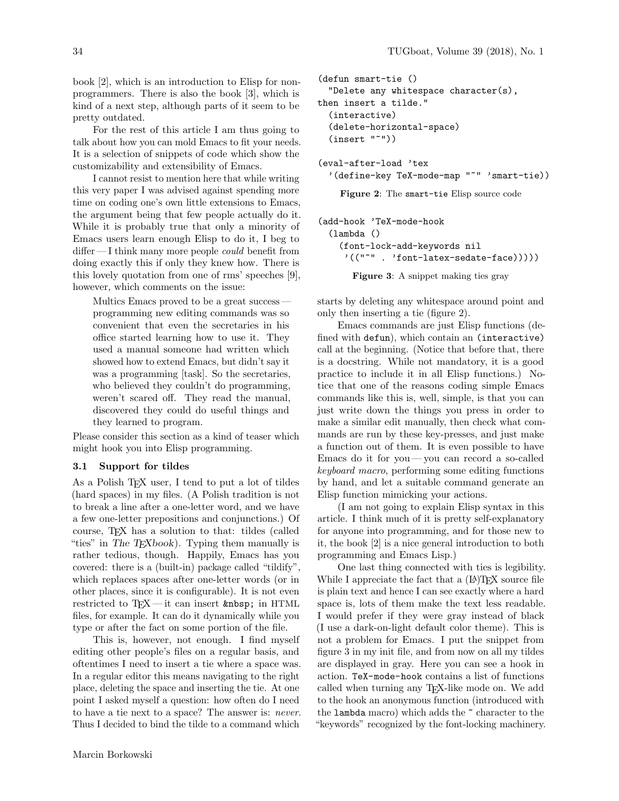book [2], which is an introduction to Elisp for nonprogrammers. There is also the book [3], which is kind of a next step, although parts of it seem to be pretty outdated.

For the rest of this article I am thus going to talk about how you can mold Emacs to fit your needs. It is a selection of snippets of code which show the customizability and extensibility of Emacs.

I cannot resist to mention here that while writing this very paper I was advised against spending more time on coding one's own little extensions to Emacs, the argument being that few people actually do it. While it is probably true that only a minority of Emacs users learn enough Elisp to do it, I beg to differ — I think many more people *could* benefit from doing exactly this if only they knew how. There is this lovely quotation from one of rms' speeches [9], however, which comments on the issue:

Multics Emacs proved to be a great success programming new editing commands was so convenient that even the secretaries in his office started learning how to use it. They used a manual someone had written which showed how to extend Emacs, but didn't say it was a programming [task]. So the secretaries, who believed they couldn't do programming, weren't scared off. They read the manual, discovered they could do useful things and they learned to program.

Please consider this section as a kind of teaser which might hook you into Elisp programming.

### 3.1 Support for tildes

As a Polish T<sub>EX</sub> user, I tend to put a lot of tildes (hard spaces) in my files. (A Polish tradition is not to break a line after a one-letter word, and we have a few one-letter prepositions and conjunctions.) Of course, TEX has a solution to that: tildes (called "ties" in The T<sub>E</sub>Xbook). Typing them manually is rather tedious, though. Happily, Emacs has you covered: there is a (built-in) package called "tildify", which replaces spaces after one-letter words (or in other places, since it is configurable). It is not even restricted to  $TFX$ —it can insert  $\$ ; in HTML files, for example. It can do it dynamically while you type or after the fact on some portion of the file.

This is, however, not enough. I find myself editing other people's files on a regular basis, and oftentimes I need to insert a tie where a space was. In a regular editor this means navigating to the right place, deleting the space and inserting the tie. At one point I asked myself a question: how often do I need to have a tie next to a space? The answer is: never. Thus I decided to bind the tilde to a command which

```
(defun smart-tie ()
  "Delete any whitespace character(s),
then insert a tilde."
  (interactive)
  (delete-horizontal-space)
  (insert "~"))
(eval-after-load 'tex
  '(define-key TeX-mode-map "~" 'smart-tie))
```
Figure 2: The smart-tie Elisp source code

```
(add-hook 'TeX-mode-hook
  (lambda ()
    (font-lock-add-keywords nil
     '(("~" . 'font-latex-sedate-face)))))
```
Figure 3: A snippet making ties gray

starts by deleting any whitespace around point and only then inserting a tie (figure 2).

Emacs commands are just Elisp functions (defined with defun), which contain an (interactive) call at the beginning. (Notice that before that, there is a docstring. While not mandatory, it is a good practice to include it in all Elisp functions.) Notice that one of the reasons coding simple Emacs commands like this is, well, simple, is that you can just write down the things you press in order to make a similar edit manually, then check what commands are run by these key-presses, and just make a function out of them. It is even possible to have Emacs do it for you— you can record a so-called keyboard macro, performing some editing functions by hand, and let a suitable command generate an Elisp function mimicking your actions.

(I am not going to explain Elisp syntax in this article. I think much of it is pretty self-explanatory for anyone into programming, and for those new to it, the book [2] is a nice general introduction to both programming and Emacs Lisp.)

One last thing connected with ties is legibility. While I appreciate the fact that a  $(LA)$ T<sub>E</sub>X source file is plain text and hence I can see exactly where a hard space is, lots of them make the text less readable. I would prefer if they were gray instead of black (I use a dark-on-light default color theme). This is not a problem for Emacs. I put the snippet from figure 3 in my init file, and from now on all my tildes are displayed in gray. Here you can see a hook in action. TeX-mode-hook contains a list of functions called when turning any TEX-like mode on. We add to the hook an anonymous function (introduced with the lambda macro) which adds the ~ character to the "keywords" recognized by the font-locking machinery.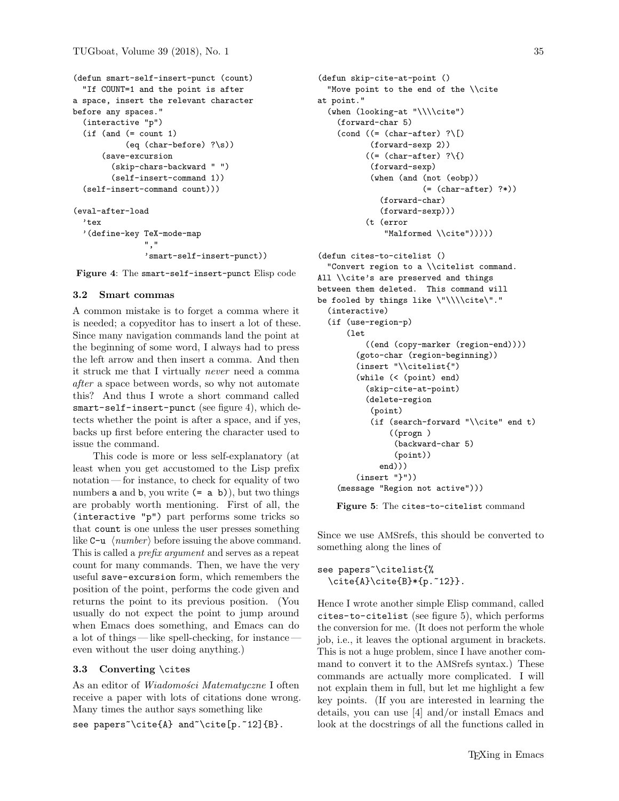```
(defun smart-self-insert-punct (count)
  "If COUNT=1 and the point is after
a space, insert the relevant character
before any spaces."
  (interactive "p")
  (if (and (= count 1)
           (eq (char-before) ?\s))
      (save-excursion
        (skip-chars-backward " ")
        (self-insert-command 1))
  (self-insert-command count)))
(eval-after-load
  'tex
  '(define-key TeX-mode-map
               ","
```
Figure 4: The smart-self-insert-punct Elisp code

'smart-self-insert-punct))

### 3.2 Smart commas

A common mistake is to forget a comma where it is needed; a copyeditor has to insert a lot of these. Since many navigation commands land the point at the beginning of some word, I always had to press the left arrow and then insert a comma. And then it struck me that I virtually never need a comma after a space between words, so why not automate this? And thus I wrote a short command called smart-self-insert-punct (see figure 4), which detects whether the point is after a space, and if yes, backs up first before entering the character used to issue the command.

This code is more or less self-explanatory (at least when you get accustomed to the Lisp prefix notation — for instance, to check for equality of two numbers  $a$  and  $b$ , you write  $(= a \; b)$ , but two things are probably worth mentioning. First of all, the (interactive "p") part performs some tricks so that count is one unless the user presses something like  $C-u \langle number \rangle$  before issuing the above command. This is called a prefix argument and serves as a repeat count for many commands. Then, we have the very useful save-excursion form, which remembers the position of the point, performs the code given and returns the point to its previous position. (You usually do not expect the point to jump around when Emacs does something, and Emacs can do a lot of things— like spell-checking, for instance even without the user doing anything.)

#### 3.3 Converting \cites

As an editor of *Wiadomości Matematyczne* I often receive a paper with lots of citations done wrong. Many times the author says something like see papers<sup>~</sup>\cite{A} and<sup>~</sup>\cite[p.~12]{B}.

```
(defun skip-cite-at-point ()
  "Move point to the end of the \\cite
at point."
  (when (looking-at "\\\\cite")
    (forward-char 5)
    \text{(cond } ((= \text{(char-after)} ? \r\})(forward-sexp 2))
          ((= (char-after) ?){})(forward-sexp)
           (when (and (not (eobp))
                       (= (char-after) ?*))
              (forward-char)
             (forward-sexp)))
          (t (error
              "Malformed \\cite")))))
(defun cites-to-citelist ()
  "Convert region to a \\citelist command.
All \\cite's are preserved and things
between them deleted. This command will
be fooled by things like \"\\\\cite\"."
  (interactive)
  (if (use-region-p)
      (let
          ((end (copy-marker (region-end))))
        (goto-char (region-beginning))
        (insert "\\citelist{")
        (while (< (point) end)
          (skip-cite-at-point)
          (delete-region
           (point)
           (if (search-forward "\\cite" end t)
                ((progn )
                 (backward-char 5)
                 (point))
             end)))
        (insert "}"))
    (message "Region not active")))
```
Figure 5: The cites-to-citelist command

Since we use AMSrefs, this should be converted to something along the lines of

```
see papers~\citelist{%
 \cite{A}\cite{B*{p.^12}}.
```
Hence I wrote another simple Elisp command, called cites-to-citelist (see figure 5), which performs the conversion for me. (It does not perform the whole job, i.e., it leaves the optional argument in brackets. This is not a huge problem, since I have another command to convert it to the AMSrefs syntax.) These commands are actually more complicated. I will not explain them in full, but let me highlight a few key points. (If you are interested in learning the details, you can use [4] and/or install Emacs and look at the docstrings of all the functions called in